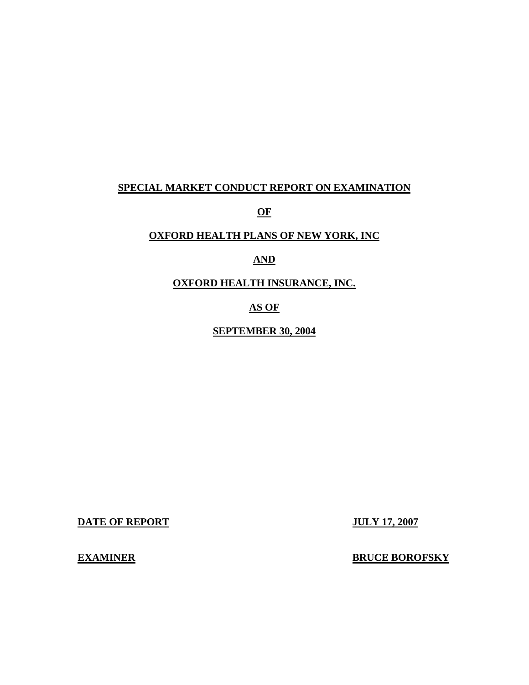### **SPECIAL MARKET CONDUCT REPORT ON EXAMINATION**

**OF** 

### **OXFORD HEALTH PLANS OF NEW YORK, INC**

# **AND**

**OXFORD HEALTH INSURANCE, INC.** 

### **AS OF**

**SEPTEMBER 30, 2004** 

**DATE OF REPORT JULY 17, 2007** 

**EXAMINER** 

**ERUCE BOROFSKY**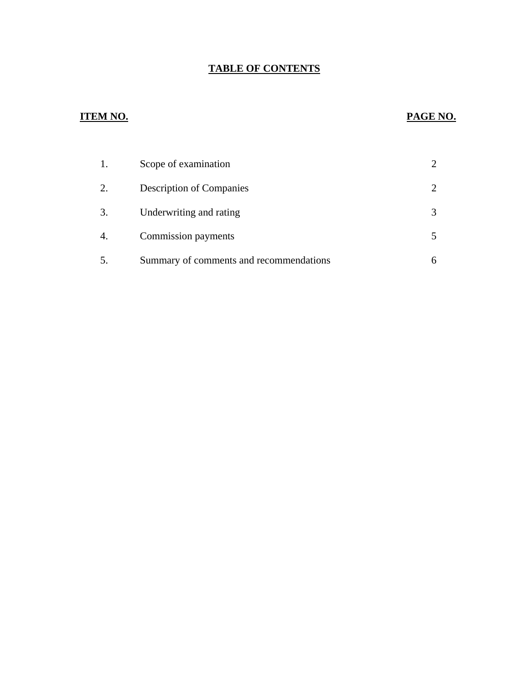# **TABLE OF CONTENTS**

# **ITEM NO. PAGE NO.**

| 1. | Scope of examination                    |  |
|----|-----------------------------------------|--|
| 2. | <b>Description of Companies</b>         |  |
| 3. | Underwriting and rating                 |  |
| 4. | Commission payments                     |  |
|    | Summary of comments and recommendations |  |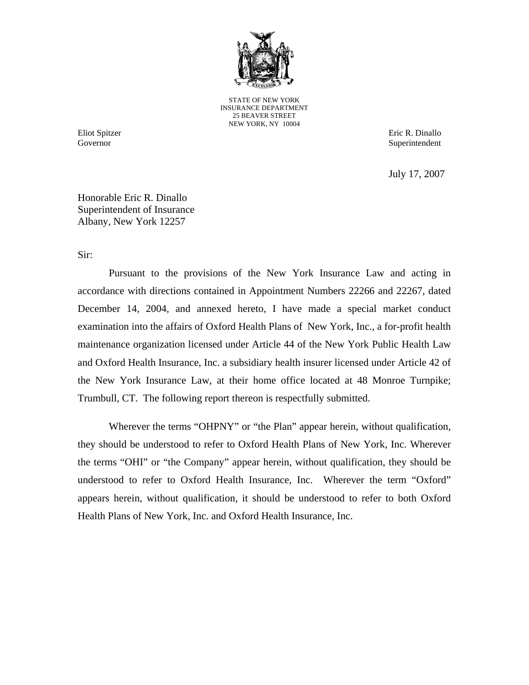

STATE OF NEW YORK INSURANCE DEPARTMENT 25 BEAVER STREET NEW YORK, NY 10004

Governor

Eliot Spitzer Eric R. Dinallo Superintendent

July 17, 2007

Honorable Eric R. Dinallo Superintendent of Insurance Albany, New York 12257

Sir:

Pursuant to the provisions of the New York Insurance Law and acting in accordance with directions contained in Appointment Numbers 22266 and 22267, dated December 14, 2004, and annexed hereto, I have made a special market conduct examination into the affairs of Oxford Health Plans of New York, Inc., a for-profit health maintenance organization licensed under Article 44 of the New York Public Health Law and Oxford Health Insurance, Inc. a subsidiary health insurer licensed under Article 42 of the New York Insurance Law, at their home office located at 48 Monroe Turnpike; Trumbull, CT. The following report thereon is respectfully submitted.

Wherever the terms "OHPNY" or "the Plan" appear herein, without qualification, they should be understood to refer to Oxford Health Plans of New York, Inc. Wherever the terms "OHI" or "the Company" appear herein, without qualification, they should be understood to refer to Oxford Health Insurance, Inc. Wherever the term "Oxford" appears herein, without qualification, it should be understood to refer to both Oxford Health Plans of New York, Inc. and Oxford Health Insurance, Inc.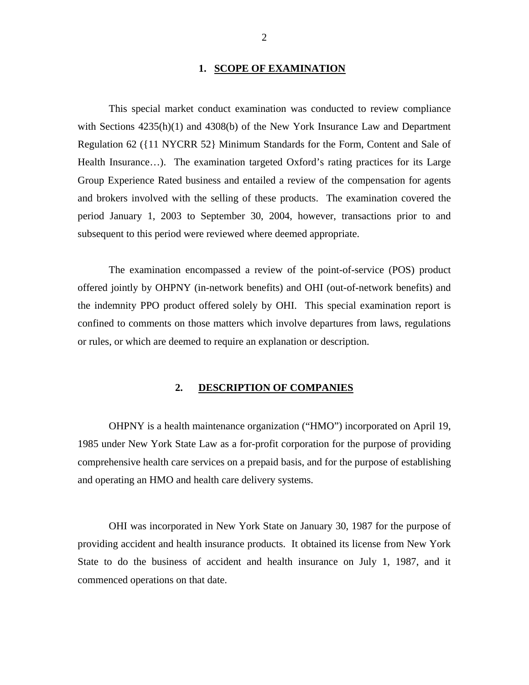### **1. SCOPE OF EXAMINATION**

<span id="page-3-0"></span>This special market conduct examination was conducted to review compliance with Sections 4235(h)(1) and 4308(b) of the New York Insurance Law and Department Regulation 62 ({11 NYCRR 52} Minimum Standards for the Form, Content and Sale of Health Insurance…). The examination targeted Oxford's rating practices for its Large Group Experience Rated business and entailed a review of the compensation for agents and brokers involved with the selling of these products. The examination covered the period January 1, 2003 to September 30, 2004, however, transactions prior to and subsequent to this period were reviewed where deemed appropriate.

The examination encompassed a review of the point-of-service (POS) product offered jointly by OHPNY (in-network benefits) and OHI (out-of-network benefits) and the indemnity PPO product offered solely by OHI. This special examination report is confined to comments on those matters which involve departures from laws, regulations or rules, or which are deemed to require an explanation or description.

### **2. DESCRIPTION OF COMPANIES**

OHPNY is a health maintenance organization ("HMO") incorporated on April 19, 1985 under New York State Law as a for-profit corporation for the purpose of providing comprehensive health care services on a prepaid basis, and for the purpose of establishing and operating an HMO and health care delivery systems.

OHI was incorporated in New York State on January 30, 1987 for the purpose of providing accident and health insurance products. It obtained its license from New York State to do the business of accident and health insurance on July 1, 1987, and it commenced operations on that date.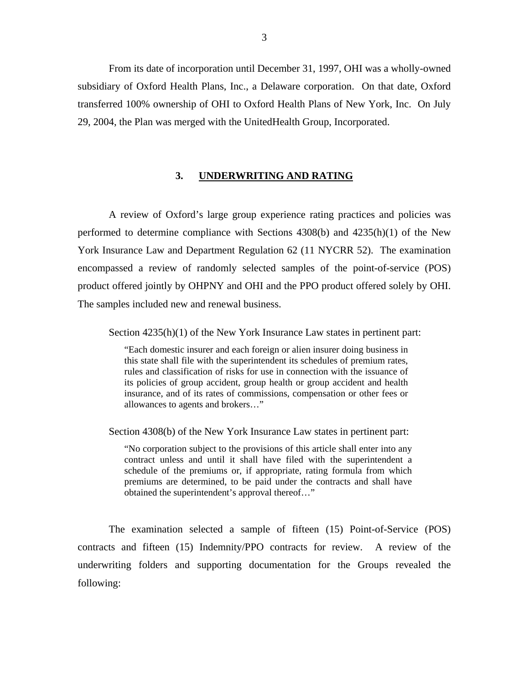<span id="page-4-0"></span>From its date of incorporation until December 31, 1997, OHI was a wholly-owned subsidiary of Oxford Health Plans, Inc., a Delaware corporation. On that date, Oxford transferred 100% ownership of OHI to Oxford Health Plans of New York, Inc. On July 29, 2004, the Plan was merged with the UnitedHealth Group, Incorporated.

### **3. UNDERWRITING AND RATING**

A review of Oxford's large group experience rating practices and policies was performed to determine compliance with Sections 4308(b) and 4235(h)(1) of the New York Insurance Law and Department Regulation 62 (11 NYCRR 52). The examination encompassed a review of randomly selected samples of the point-of-service (POS) product offered jointly by OHPNY and OHI and the PPO product offered solely by OHI. The samples included new and renewal business.

Section  $4235(h)(1)$  of the New York Insurance Law states in pertinent part:

"Each domestic insurer and each foreign or alien insurer doing business in this state shall file with the superintendent its schedules of premium rates, rules and classification of risks for use in connection with the issuance of its policies of group accident, group health or group accident and health insurance, and of its rates of commissions, compensation or other fees or allowances to agents and brokers…"

Section 4308(b) of the New York Insurance Law states in pertinent part:

"No corporation subject to the provisions of this article shall enter into any contract unless and until it shall have filed with the superintendent a schedule of the premiums or, if appropriate, rating formula from which premiums are determined, to be paid under the contracts and shall have obtained the superintendent's approval thereof…"

The examination selected a sample of fifteen (15) Point-of-Service (POS) contracts and fifteen (15) Indemnity/PPO contracts for review. A review of the underwriting folders and supporting documentation for the Groups revealed the following: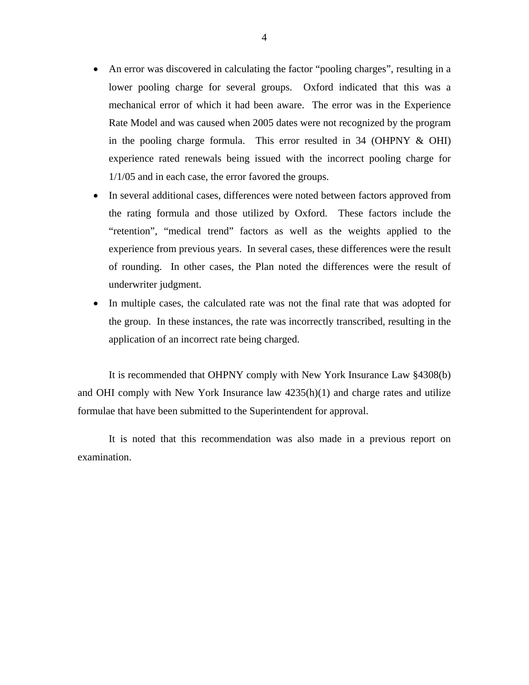- An error was discovered in calculating the factor "pooling charges", resulting in a lower pooling charge for several groups. Oxford indicated that this was a mechanical error of which it had been aware. The error was in the Experience Rate Model and was caused when 2005 dates were not recognized by the program in the pooling charge formula. This error resulted in 34 (OHPNY & OHI) experience rated renewals being issued with the incorrect pooling charge for 1/1/05 and in each case, the error favored the groups.
- In several additional cases, differences were noted between factors approved from the rating formula and those utilized by Oxford. These factors include the "retention", "medical trend" factors as well as the weights applied to the experience from previous years. In several cases, these differences were the result of rounding. In other cases, the Plan noted the differences were the result of underwriter judgment.
- In multiple cases, the calculated rate was not the final rate that was adopted for the group. In these instances, the rate was incorrectly transcribed, resulting in the application of an incorrect rate being charged.

It is recommended that OHPNY comply with New York Insurance Law §4308(b) and OHI comply with New York Insurance law 4235(h)(1) and charge rates and utilize formulae that have been submitted to the Superintendent for approval.

It is noted that this recommendation was also made in a previous report on examination.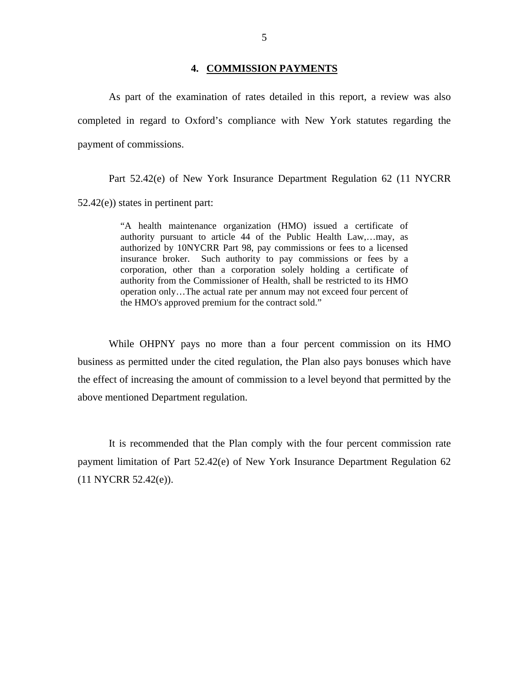### **4. COMMISSION PAYMENTS**

<span id="page-6-0"></span>As part of the examination of rates detailed in this report, a review was also completed in regard to Oxford's compliance with New York statutes regarding the payment of commissions.

Part 52.42(e) of New York Insurance Department Regulation 62 (11 NYCRR 52.42(e)) states in pertinent part:

> "A health maintenance organization (HMO) issued a certificate of authority pursuant to article 44 of the Public Health Law,…may, as authorized by 10NYCRR Part 98, pay commissions or fees to a licensed insurance broker. Such authority to pay commissions or fees by a corporation, other than a corporation solely holding a certificate of authority from the Commissioner of Health, shall be restricted to its HMO operation only…The actual rate per annum may not exceed four percent of the HMO's approved premium for the contract sold."

While OHPNY pays no more than a four percent commission on its HMO business as permitted under the cited regulation, the Plan also pays bonuses which have the effect of increasing the amount of commission to a level beyond that permitted by the above mentioned Department regulation.

It is recommended that the Plan comply with the four percent commission rate payment limitation of Part 52.42(e) of New York Insurance Department Regulation 62 (11 NYCRR 52.42(e)).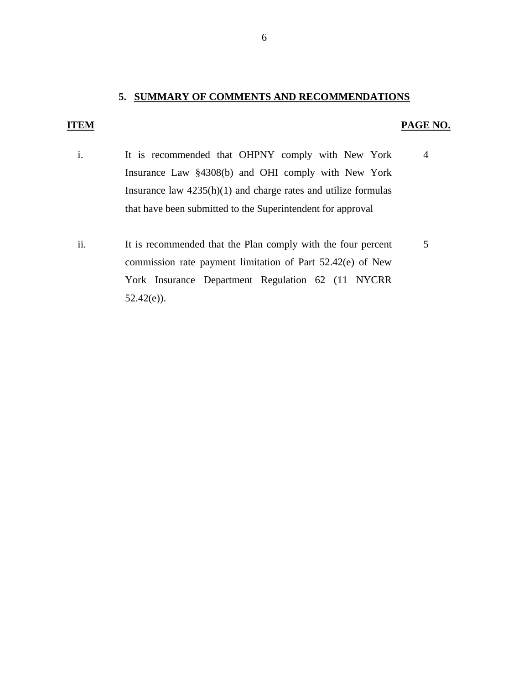### **5. SUMMARY OF COMMENTS AND RECOMMENDATIONS**

### **ITEM PAGE NO.**

- i. It is recommended that OHPNY comply with New York Insurance Law §4308(b) and OHI comply with New York Insurance law 4235(h)(1) and charge rates and utilize formulas that have been submitted to the Superintendent for approval 4
- ii. It is recommended that the Plan comply with the four percent commission rate payment limitation of Part 52.42(e) of New York Insurance Department Regulation 62 (11 NYCRR 52.42(e)). 5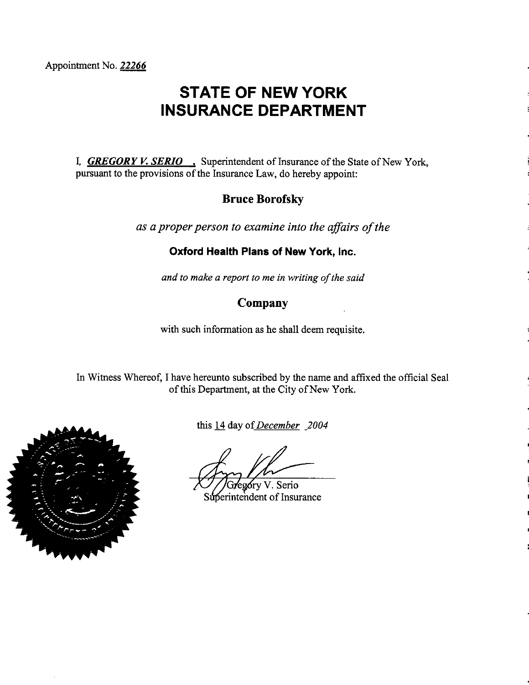Appointment No. 22266

# **STATE OF NEW YORK INSURANCE DEPARTMENT**

I, **GREGORY V. SERIO**, Superintendent of Insurance of the State of New York, pursuant to the provisions of the Insurance Law, do hereby appoint:

# **Bruce Borofsky**

as a proper person to examine into the affairs of the

### Oxford Health Plans of New York, Inc.

and to make a report to me in writing of the said

# Company

with such information as he shall deem requisite.

In Witness Whereof, I have hereunto subscribed by the name and affixed the official Seal of this Department, at the City of New York.



this 14 day of December 2004

góry V. Serio

Superintendent of Insurance